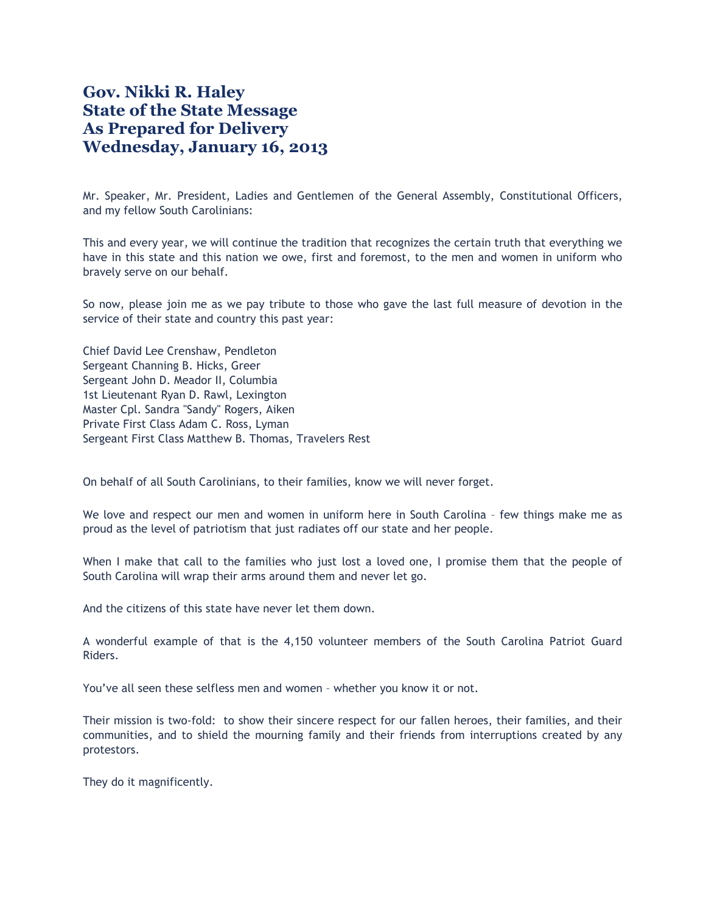## **Gov. Nikki R. Haley State of the State Message As Prepared for Delivery Wednesday, January 16, 2013**

Mr. Speaker, Mr. President, Ladies and Gentlemen of the General Assembly, Constitutional Officers, and my fellow South Carolinians:

This and every year, we will continue the tradition that recognizes the certain truth that everything we have in this state and this nation we owe, first and foremost, to the men and women in uniform who bravely serve on our behalf.

So now, please join me as we pay tribute to those who gave the last full measure of devotion in the service of their state and country this past year:

Chief David Lee Crenshaw, Pendleton Sergeant Channing B. Hicks, Greer Sergeant John D. Meador II, Columbia 1st Lieutenant Ryan D. Rawl, Lexington Master Cpl. Sandra "Sandy" Rogers, Aiken Private First Class Adam C. Ross, Lyman Sergeant First Class Matthew B. Thomas, Travelers Rest

On behalf of all South Carolinians, to their families, know we will never forget.

We love and respect our men and women in uniform here in South Carolina – few things make me as proud as the level of patriotism that just radiates off our state and her people.

When I make that call to the families who just lost a loved one, I promise them that the people of South Carolina will wrap their arms around them and never let go.

And the citizens of this state have never let them down.

A wonderful example of that is the 4,150 volunteer members of the South Carolina Patriot Guard Riders.

You've all seen these selfless men and women – whether you know it or not.

Their mission is two-fold: to show their sincere respect for our fallen heroes, their families, and their communities, and to shield the mourning family and their friends from interruptions created by any protestors.

They do it magnificently.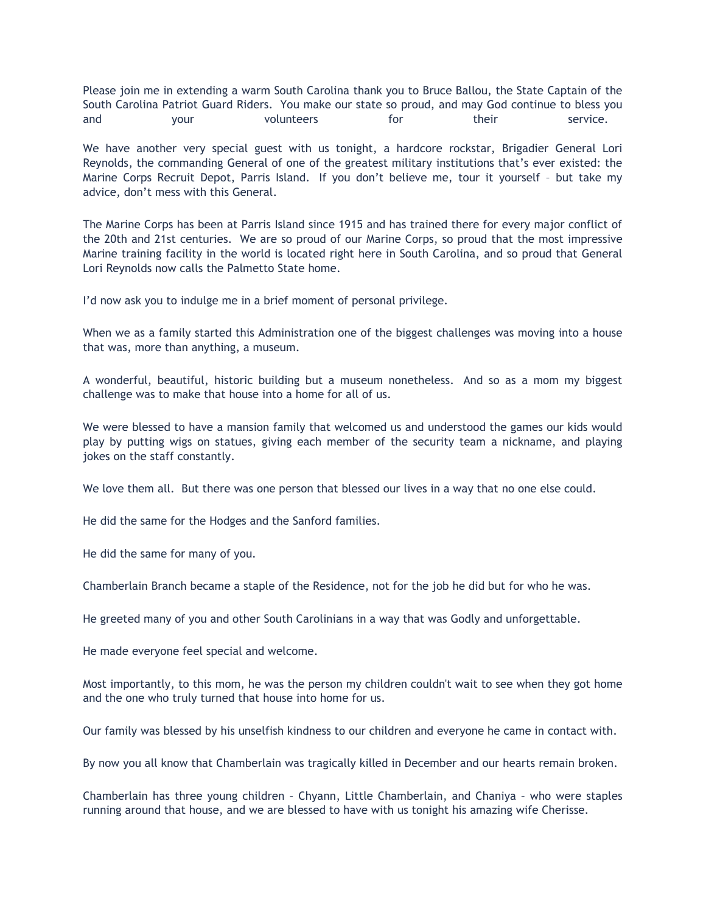Please join me in extending a warm South Carolina thank you to Bruce Ballou, the State Captain of the South Carolina Patriot Guard Riders. You make our state so proud, and may God continue to bless you and your volunteers for their service.

We have another very special guest with us tonight, a hardcore rockstar, Brigadier General Lori Reynolds, the commanding General of one of the greatest military institutions that's ever existed: the Marine Corps Recruit Depot, Parris Island. If you don't believe me, tour it yourself – but take my advice, don't mess with this General.

The Marine Corps has been at Parris Island since 1915 and has trained there for every major conflict of the 20th and 21st centuries. We are so proud of our Marine Corps, so proud that the most impressive Marine training facility in the world is located right here in South Carolina, and so proud that General Lori Reynolds now calls the Palmetto State home.

I'd now ask you to indulge me in a brief moment of personal privilege.

When we as a family started this Administration one of the biggest challenges was moving into a house that was, more than anything, a museum.

A wonderful, beautiful, historic building but a museum nonetheless. And so as a mom my biggest challenge was to make that house into a home for all of us.

We were blessed to have a mansion family that welcomed us and understood the games our kids would play by putting wigs on statues, giving each member of the security team a nickname, and playing jokes on the staff constantly.

We love them all. But there was one person that blessed our lives in a way that no one else could.

He did the same for the Hodges and the Sanford families.

He did the same for many of you.

Chamberlain Branch became a staple of the Residence, not for the job he did but for who he was.

He greeted many of you and other South Carolinians in a way that was Godly and unforgettable.

He made everyone feel special and welcome.

Most importantly, to this mom, he was the person my children couldn't wait to see when they got home and the one who truly turned that house into home for us.

Our family was blessed by his unselfish kindness to our children and everyone he came in contact with.

By now you all know that Chamberlain was tragically killed in December and our hearts remain broken.

Chamberlain has three young children – Chyann, Little Chamberlain, and Chaniya – who were staples running around that house, and we are blessed to have with us tonight his amazing wife Cherisse.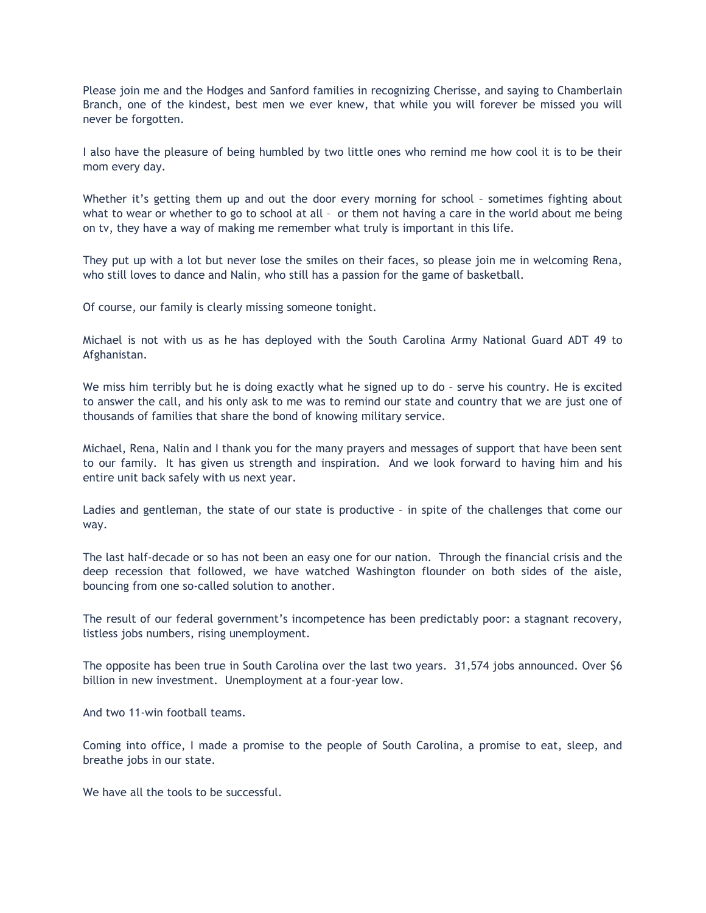Please join me and the Hodges and Sanford families in recognizing Cherisse, and saying to Chamberlain Branch, one of the kindest, best men we ever knew, that while you will forever be missed you will never be forgotten.

I also have the pleasure of being humbled by two little ones who remind me how cool it is to be their mom every day.

Whether it's getting them up and out the door every morning for school - sometimes fighting about what to wear or whether to go to school at all – or them not having a care in the world about me being on tv, they have a way of making me remember what truly is important in this life.

They put up with a lot but never lose the smiles on their faces, so please join me in welcoming Rena, who still loves to dance and Nalin, who still has a passion for the game of basketball.

Of course, our family is clearly missing someone tonight.

Michael is not with us as he has deployed with the South Carolina Army National Guard ADT 49 to Afghanistan.

We miss him terribly but he is doing exactly what he signed up to do - serve his country. He is excited to answer the call, and his only ask to me was to remind our state and country that we are just one of thousands of families that share the bond of knowing military service.

Michael, Rena, Nalin and I thank you for the many prayers and messages of support that have been sent to our family. It has given us strength and inspiration. And we look forward to having him and his entire unit back safely with us next year.

Ladies and gentleman, the state of our state is productive – in spite of the challenges that come our way.

The last half-decade or so has not been an easy one for our nation. Through the financial crisis and the deep recession that followed, we have watched Washington flounder on both sides of the aisle, bouncing from one so-called solution to another.

The result of our federal government's incompetence has been predictably poor: a stagnant recovery, listless jobs numbers, rising unemployment.

The opposite has been true in South Carolina over the last two years. 31,574 jobs announced. Over \$6 billion in new investment. Unemployment at a four-year low.

And two 11-win football teams.

Coming into office, I made a promise to the people of South Carolina, a promise to eat, sleep, and breathe jobs in our state.

We have all the tools to be successful.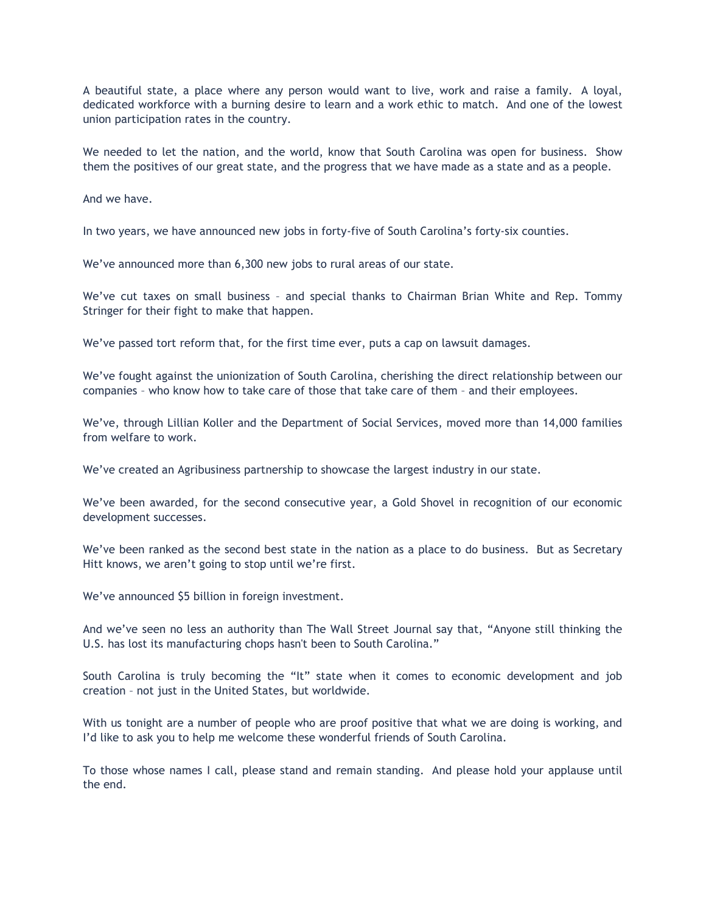A beautiful state, a place where any person would want to live, work and raise a family. A loyal, dedicated workforce with a burning desire to learn and a work ethic to match. And one of the lowest union participation rates in the country.

We needed to let the nation, and the world, know that South Carolina was open for business. Show them the positives of our great state, and the progress that we have made as a state and as a people.

And we have.

In two years, we have announced new jobs in forty-five of South Carolina's forty-six counties.

We've announced more than 6,300 new jobs to rural areas of our state.

We've cut taxes on small business – and special thanks to Chairman Brian White and Rep. Tommy Stringer for their fight to make that happen.

We've passed tort reform that, for the first time ever, puts a cap on lawsuit damages.

We've fought against the unionization of South Carolina, cherishing the direct relationship between our companies – who know how to take care of those that take care of them – and their employees.

We've, through Lillian Koller and the Department of Social Services, moved more than 14,000 families from welfare to work.

We've created an Agribusiness partnership to showcase the largest industry in our state.

We've been awarded, for the second consecutive year, a Gold Shovel in recognition of our economic development successes.

We've been ranked as the second best state in the nation as a place to do business. But as Secretary Hitt knows, we aren't going to stop until we're first.

We've announced \$5 billion in foreign investment.

And we've seen no less an authority than The Wall Street Journal say that, "Anyone still thinking the U.S. has lost its manufacturing chops hasn't been to South Carolina."

South Carolina is truly becoming the "It" state when it comes to economic development and job creation – not just in the United States, but worldwide.

With us tonight are a number of people who are proof positive that what we are doing is working, and I'd like to ask you to help me welcome these wonderful friends of South Carolina.

To those whose names I call, please stand and remain standing. And please hold your applause until the end.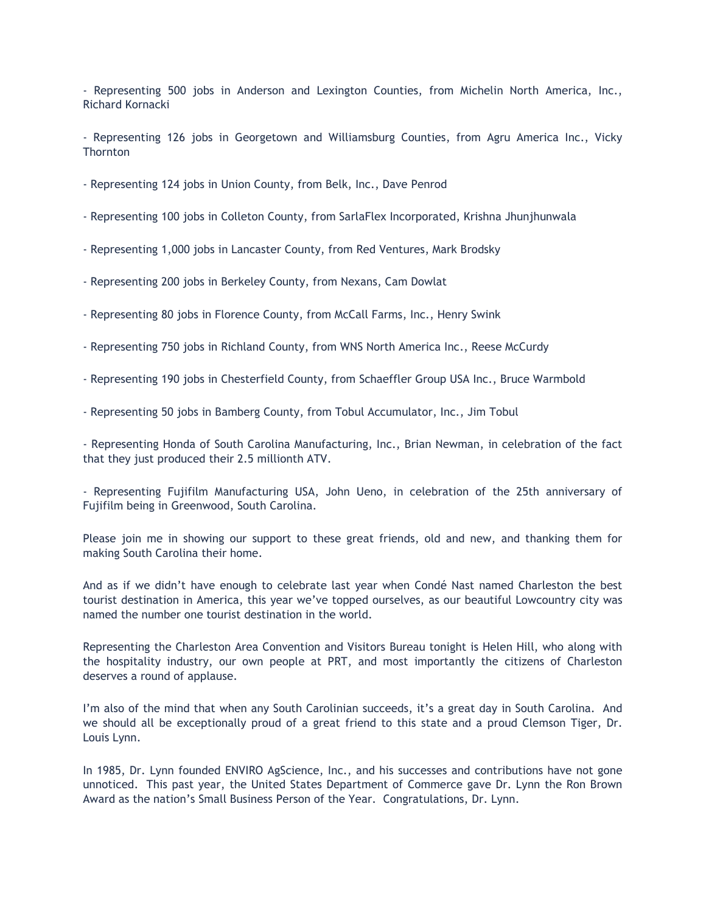- Representing 500 jobs in Anderson and Lexington Counties, from Michelin North America, Inc., Richard Kornacki

- Representing 126 jobs in Georgetown and Williamsburg Counties, from Agru America Inc., Vicky **Thornton** 

- Representing 124 jobs in Union County, from Belk, Inc., Dave Penrod

- Representing 100 jobs in Colleton County, from SarlaFlex Incorporated, Krishna Jhunjhunwala

- Representing 1,000 jobs in Lancaster County, from Red Ventures, Mark Brodsky
- Representing 200 jobs in Berkeley County, from Nexans, Cam Dowlat
- Representing 80 jobs in Florence County, from McCall Farms, Inc., Henry Swink
- Representing 750 jobs in Richland County, from WNS North America Inc., Reese McCurdy
- Representing 190 jobs in Chesterfield County, from Schaeffler Group USA Inc., Bruce Warmbold
- Representing 50 jobs in Bamberg County, from Tobul Accumulator, Inc., Jim Tobul

- Representing Honda of South Carolina Manufacturing, Inc., Brian Newman, in celebration of the fact that they just produced their 2.5 millionth ATV.

- Representing Fujifilm Manufacturing USA, John Ueno, in celebration of the 25th anniversary of Fujifilm being in Greenwood, South Carolina.

Please join me in showing our support to these great friends, old and new, and thanking them for making South Carolina their home.

And as if we didn't have enough to celebrate last year when Condé Nast named Charleston the best tourist destination in America, this year we've topped ourselves, as our beautiful Lowcountry city was named the number one tourist destination in the world.

Representing the Charleston Area Convention and Visitors Bureau tonight is Helen Hill, who along with the hospitality industry, our own people at PRT, and most importantly the citizens of Charleston deserves a round of applause.

I'm also of the mind that when any South Carolinian succeeds, it's a great day in South Carolina. And we should all be exceptionally proud of a great friend to this state and a proud Clemson Tiger, Dr. Louis Lynn.

In 1985, Dr. Lynn founded ENVIRO AgScience, Inc., and his successes and contributions have not gone unnoticed. This past year, the United States Department of Commerce gave Dr. Lynn the Ron Brown Award as the nation's Small Business Person of the Year. Congratulations, Dr. Lynn.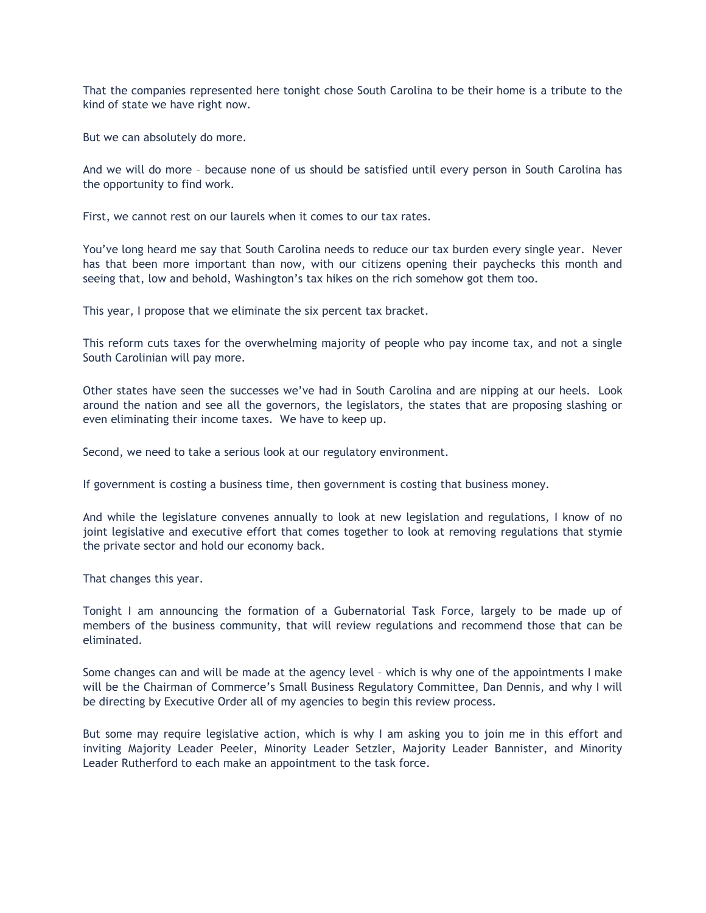That the companies represented here tonight chose South Carolina to be their home is a tribute to the kind of state we have right now.

But we can absolutely do more.

And we will do more – because none of us should be satisfied until every person in South Carolina has the opportunity to find work.

First, we cannot rest on our laurels when it comes to our tax rates.

You've long heard me say that South Carolina needs to reduce our tax burden every single year. Never has that been more important than now, with our citizens opening their paychecks this month and seeing that, low and behold, Washington's tax hikes on the rich somehow got them too.

This year, I propose that we eliminate the six percent tax bracket.

This reform cuts taxes for the overwhelming majority of people who pay income tax, and not a single South Carolinian will pay more.

Other states have seen the successes we've had in South Carolina and are nipping at our heels. Look around the nation and see all the governors, the legislators, the states that are proposing slashing or even eliminating their income taxes. We have to keep up.

Second, we need to take a serious look at our regulatory environment.

If government is costing a business time, then government is costing that business money.

And while the legislature convenes annually to look at new legislation and regulations, I know of no joint legislative and executive effort that comes together to look at removing regulations that stymie the private sector and hold our economy back.

That changes this year.

Tonight I am announcing the formation of a Gubernatorial Task Force, largely to be made up of members of the business community, that will review regulations and recommend those that can be eliminated.

Some changes can and will be made at the agency level – which is why one of the appointments I make will be the Chairman of Commerce's Small Business Regulatory Committee, Dan Dennis, and why I will be directing by Executive Order all of my agencies to begin this review process.

But some may require legislative action, which is why I am asking you to join me in this effort and inviting Majority Leader Peeler, Minority Leader Setzler, Majority Leader Bannister, and Minority Leader Rutherford to each make an appointment to the task force.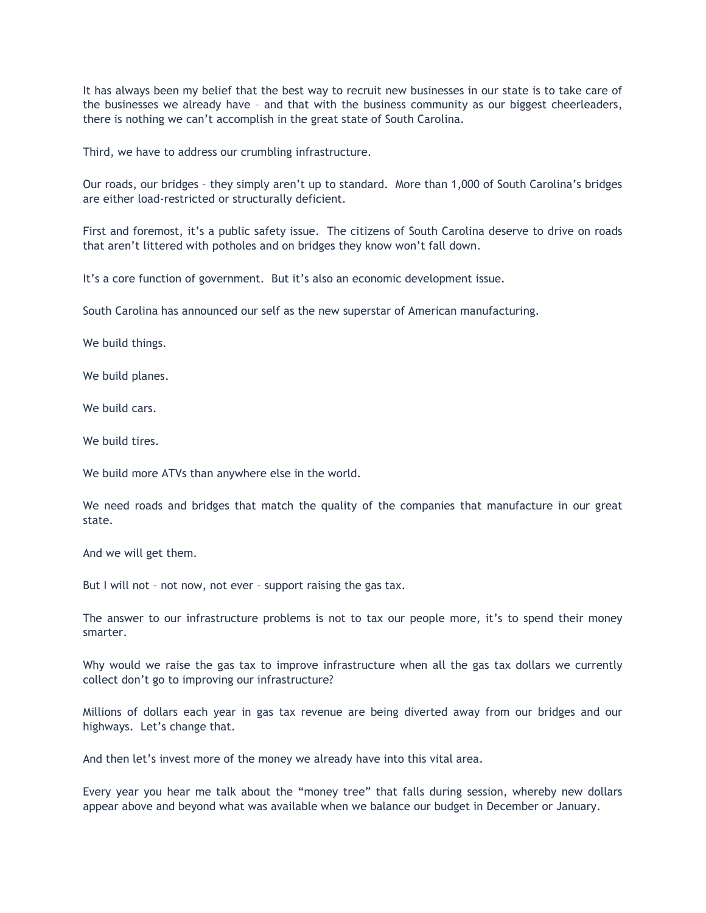It has always been my belief that the best way to recruit new businesses in our state is to take care of the businesses we already have – and that with the business community as our biggest cheerleaders, there is nothing we can't accomplish in the great state of South Carolina.

Third, we have to address our crumbling infrastructure.

Our roads, our bridges – they simply aren't up to standard. More than 1,000 of South Carolina's bridges are either load-restricted or structurally deficient.

First and foremost, it's a public safety issue. The citizens of South Carolina deserve to drive on roads that aren't littered with potholes and on bridges they know won't fall down.

It's a core function of government. But it's also an economic development issue.

South Carolina has announced our self as the new superstar of American manufacturing.

We build things.

We build planes.

We build cars.

We build tires.

We build more ATVs than anywhere else in the world.

We need roads and bridges that match the quality of the companies that manufacture in our great state.

And we will get them.

But I will not – not now, not ever – support raising the gas tax.

The answer to our infrastructure problems is not to tax our people more, it's to spend their money smarter.

Why would we raise the gas tax to improve infrastructure when all the gas tax dollars we currently collect don't go to improving our infrastructure?

Millions of dollars each year in gas tax revenue are being diverted away from our bridges and our highways. Let's change that.

And then let's invest more of the money we already have into this vital area.

Every year you hear me talk about the "money tree" that falls during session, whereby new dollars appear above and beyond what was available when we balance our budget in December or January.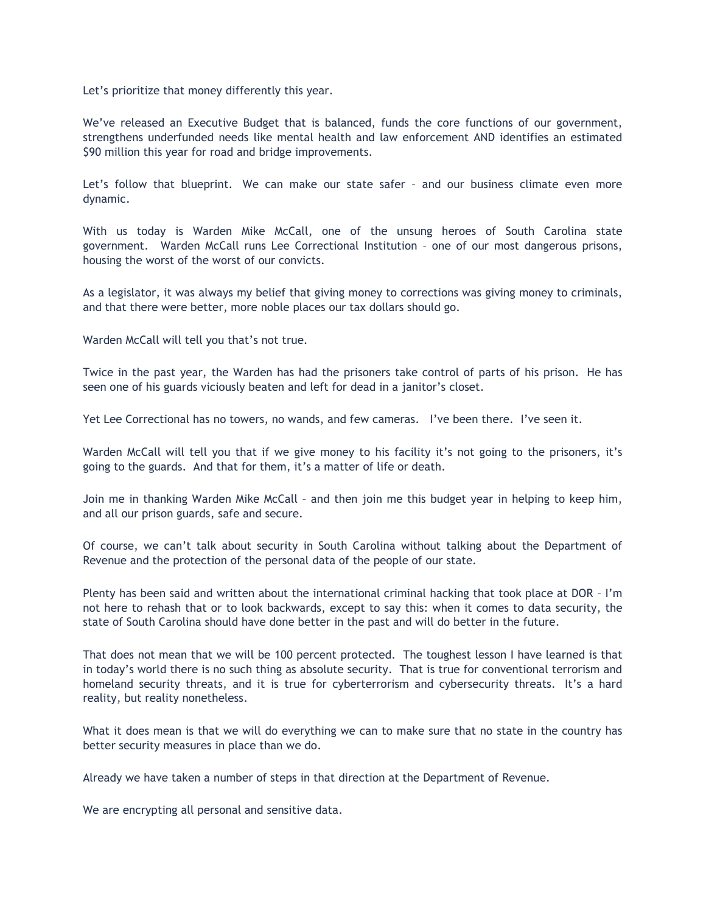Let's prioritize that money differently this year.

We've released an Executive Budget that is balanced, funds the core functions of our government, strengthens underfunded needs like mental health and law enforcement AND identifies an estimated \$90 million this year for road and bridge improvements.

Let's follow that blueprint. We can make our state safer – and our business climate even more dynamic.

With us today is Warden Mike McCall, one of the unsung heroes of South Carolina state government. Warden McCall runs Lee Correctional Institution – one of our most dangerous prisons, housing the worst of the worst of our convicts.

As a legislator, it was always my belief that giving money to corrections was giving money to criminals, and that there were better, more noble places our tax dollars should go.

Warden McCall will tell you that's not true.

Twice in the past year, the Warden has had the prisoners take control of parts of his prison. He has seen one of his guards viciously beaten and left for dead in a janitor's closet.

Yet Lee Correctional has no towers, no wands, and few cameras. I've been there. I've seen it.

Warden McCall will tell you that if we give money to his facility it's not going to the prisoners, it's going to the guards. And that for them, it's a matter of life or death.

Join me in thanking Warden Mike McCall – and then join me this budget year in helping to keep him, and all our prison guards, safe and secure.

Of course, we can't talk about security in South Carolina without talking about the Department of Revenue and the protection of the personal data of the people of our state.

Plenty has been said and written about the international criminal hacking that took place at DOR – I'm not here to rehash that or to look backwards, except to say this: when it comes to data security, the state of South Carolina should have done better in the past and will do better in the future.

That does not mean that we will be 100 percent protected. The toughest lesson I have learned is that in today's world there is no such thing as absolute security. That is true for conventional terrorism and homeland security threats, and it is true for cyberterrorism and cybersecurity threats. It's a hard reality, but reality nonetheless.

What it does mean is that we will do everything we can to make sure that no state in the country has better security measures in place than we do.

Already we have taken a number of steps in that direction at the Department of Revenue.

We are encrypting all personal and sensitive data.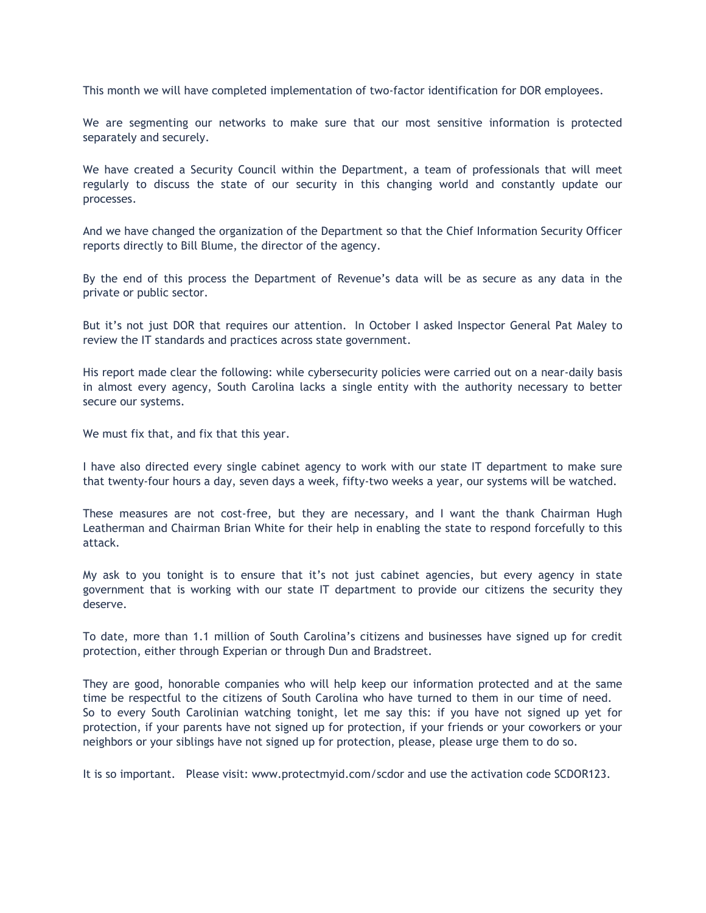This month we will have completed implementation of two-factor identification for DOR employees.

We are segmenting our networks to make sure that our most sensitive information is protected separately and securely.

We have created a Security Council within the Department, a team of professionals that will meet regularly to discuss the state of our security in this changing world and constantly update our processes.

And we have changed the organization of the Department so that the Chief Information Security Officer reports directly to Bill Blume, the director of the agency.

By the end of this process the Department of Revenue's data will be as secure as any data in the private or public sector.

But it's not just DOR that requires our attention. In October I asked Inspector General Pat Maley to review the IT standards and practices across state government.

His report made clear the following: while cybersecurity policies were carried out on a near-daily basis in almost every agency, South Carolina lacks a single entity with the authority necessary to better secure our systems.

We must fix that, and fix that this year.

I have also directed every single cabinet agency to work with our state IT department to make sure that twenty-four hours a day, seven days a week, fifty-two weeks a year, our systems will be watched.

These measures are not cost-free, but they are necessary, and I want the thank Chairman Hugh Leatherman and Chairman Brian White for their help in enabling the state to respond forcefully to this attack.

My ask to you tonight is to ensure that it's not just cabinet agencies, but every agency in state government that is working with our state IT department to provide our citizens the security they deserve.

To date, more than 1.1 million of South Carolina's citizens and businesses have signed up for credit protection, either through Experian or through Dun and Bradstreet.

They are good, honorable companies who will help keep our information protected and at the same time be respectful to the citizens of South Carolina who have turned to them in our time of need. So to every South Carolinian watching tonight, let me say this: if you have not signed up yet for protection, if your parents have not signed up for protection, if your friends or your coworkers or your neighbors or your siblings have not signed up for protection, please, please urge them to do so.

It is so important. Please visit: www.protectmyid.com/scdor and use the activation code SCDOR123.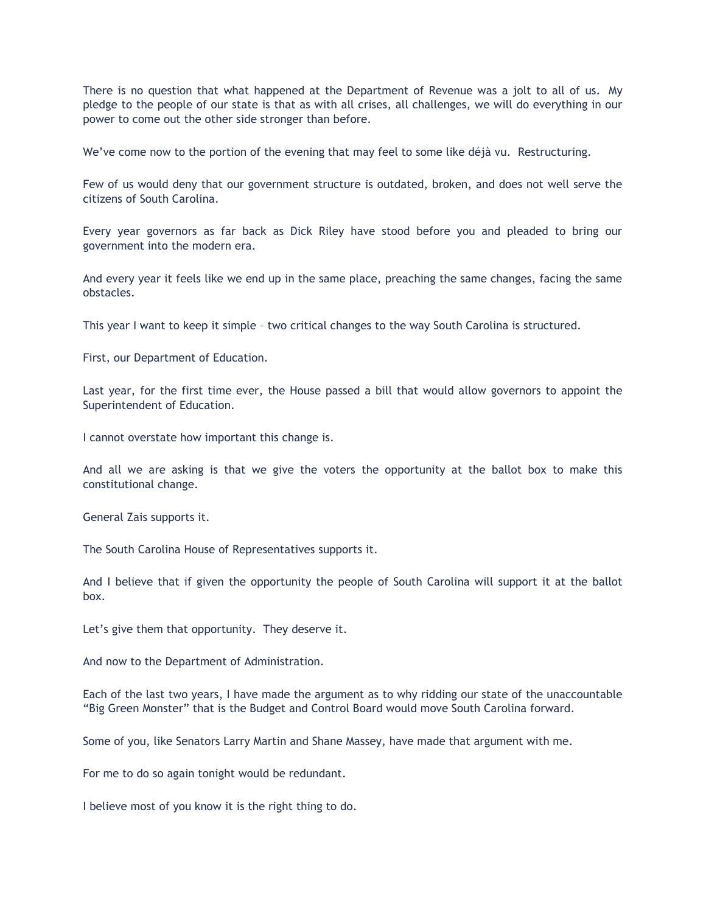There is no question that what happened at the Department of Revenue was a jolt to all of us. My pledge to the people of our state is that as with all crises, all challenges, we will do everything in our power to come out the other side stronger than before.

We've come now to the portion of the evening that may feel to some like déjà vu. Restructuring.

Few of us would deny that our government structure is outdated, broken, and does not well serve the citizens of South Carolina.

Every year governors as far back as Dick Riley have stood before you and pleaded to bring our government into the modern era.

And every year it feels like we end up in the same place, preaching the same changes, facing the same obstacles.

This year I want to keep it simple – two critical changes to the way South Carolina is structured.

First, our Department of Education.

Last year, for the first time ever, the House passed a bill that would allow governors to appoint the Superintendent of Education.

I cannot overstate how important this change is.

And all we are asking is that we give the voters the opportunity at the ballot box to make this constitutional change.

General Zais supports it.

The South Carolina House of Representatives supports it.

And I believe that if given the opportunity the people of South Carolina will support it at the ballot box.

Let's give them that opportunity. They deserve it.

And now to the Department of Administration.

Each of the last two years, I have made the argument as to why ridding our state of the unaccountable "Big Green Monster" that is the Budget and Control Board would move South Carolina forward.

Some of you, like Senators Larry Martin and Shane Massey, have made that argument with me.

For me to do so again tonight would be redundant.

I believe most of you know it is the right thing to do.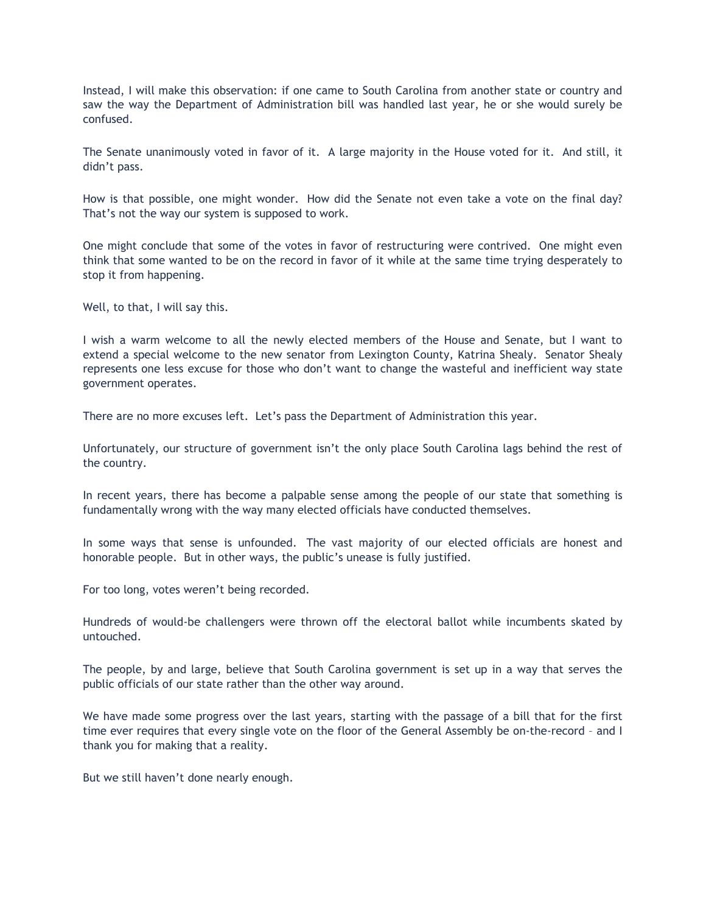Instead, I will make this observation: if one came to South Carolina from another state or country and saw the way the Department of Administration bill was handled last year, he or she would surely be confused.

The Senate unanimously voted in favor of it. A large majority in the House voted for it. And still, it didn't pass.

How is that possible, one might wonder. How did the Senate not even take a vote on the final day? That's not the way our system is supposed to work.

One might conclude that some of the votes in favor of restructuring were contrived. One might even think that some wanted to be on the record in favor of it while at the same time trying desperately to stop it from happening.

Well, to that, I will say this.

I wish a warm welcome to all the newly elected members of the House and Senate, but I want to extend a special welcome to the new senator from Lexington County, Katrina Shealy. Senator Shealy represents one less excuse for those who don't want to change the wasteful and inefficient way state government operates.

There are no more excuses left. Let's pass the Department of Administration this year.

Unfortunately, our structure of government isn't the only place South Carolina lags behind the rest of the country.

In recent years, there has become a palpable sense among the people of our state that something is fundamentally wrong with the way many elected officials have conducted themselves.

In some ways that sense is unfounded. The vast majority of our elected officials are honest and honorable people. But in other ways, the public's unease is fully justified.

For too long, votes weren't being recorded.

Hundreds of would-be challengers were thrown off the electoral ballot while incumbents skated by untouched.

The people, by and large, believe that South Carolina government is set up in a way that serves the public officials of our state rather than the other way around.

We have made some progress over the last years, starting with the passage of a bill that for the first time ever requires that every single vote on the floor of the General Assembly be on-the-record – and I thank you for making that a reality.

But we still haven't done nearly enough.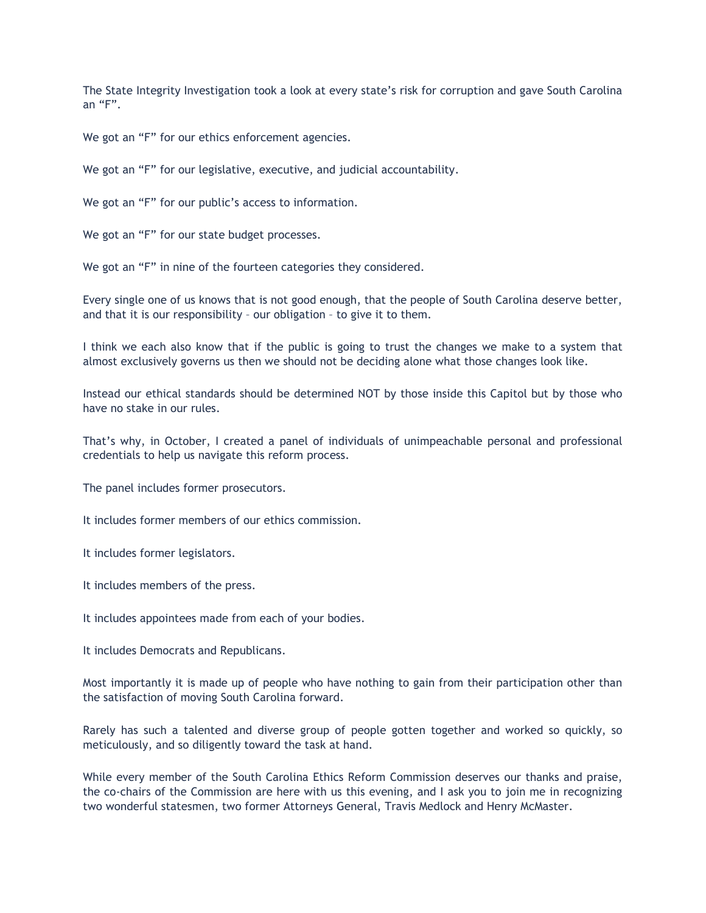The State Integrity Investigation took a look at every state's risk for corruption and gave South Carolina an "F".

We got an "F" for our ethics enforcement agencies.

We got an "F" for our legislative, executive, and judicial accountability.

We got an "F" for our public's access to information.

We got an "F" for our state budget processes.

We got an "F" in nine of the fourteen categories they considered.

Every single one of us knows that is not good enough, that the people of South Carolina deserve better, and that it is our responsibility – our obligation – to give it to them.

I think we each also know that if the public is going to trust the changes we make to a system that almost exclusively governs us then we should not be deciding alone what those changes look like.

Instead our ethical standards should be determined NOT by those inside this Capitol but by those who have no stake in our rules.

That's why, in October, I created a panel of individuals of unimpeachable personal and professional credentials to help us navigate this reform process.

The panel includes former prosecutors.

It includes former members of our ethics commission.

It includes former legislators.

It includes members of the press.

It includes appointees made from each of your bodies.

It includes Democrats and Republicans.

Most importantly it is made up of people who have nothing to gain from their participation other than the satisfaction of moving South Carolina forward.

Rarely has such a talented and diverse group of people gotten together and worked so quickly, so meticulously, and so diligently toward the task at hand.

While every member of the South Carolina Ethics Reform Commission deserves our thanks and praise, the co-chairs of the Commission are here with us this evening, and I ask you to join me in recognizing two wonderful statesmen, two former Attorneys General, Travis Medlock and Henry McMaster.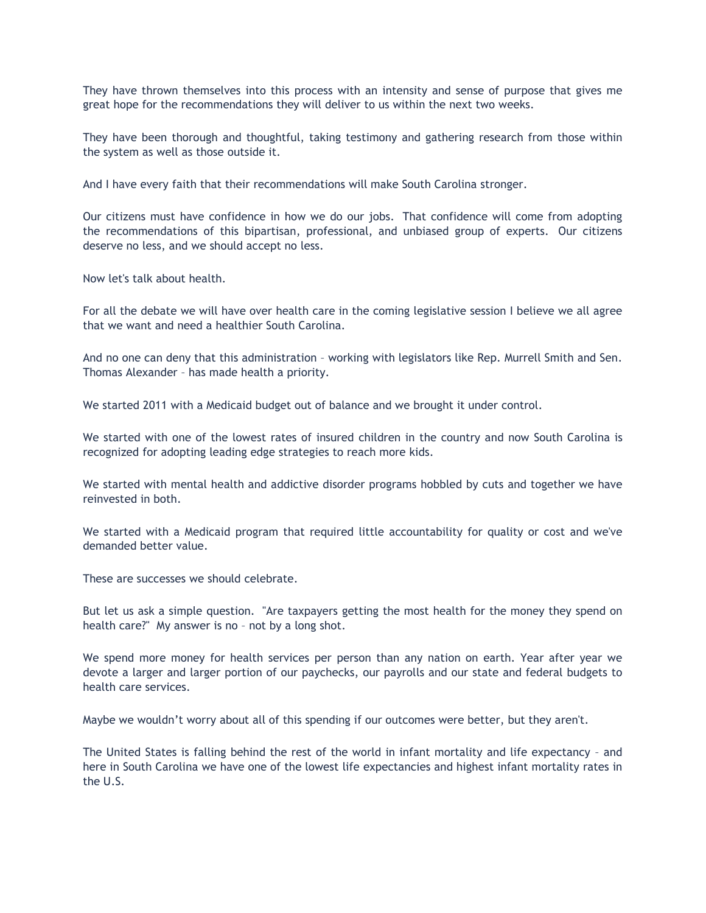They have thrown themselves into this process with an intensity and sense of purpose that gives me great hope for the recommendations they will deliver to us within the next two weeks.

They have been thorough and thoughtful, taking testimony and gathering research from those within the system as well as those outside it.

And I have every faith that their recommendations will make South Carolina stronger.

Our citizens must have confidence in how we do our jobs. That confidence will come from adopting the recommendations of this bipartisan, professional, and unbiased group of experts. Our citizens deserve no less, and we should accept no less.

Now let's talk about health.

For all the debate we will have over health care in the coming legislative session I believe we all agree that we want and need a healthier South Carolina.

And no one can deny that this administration – working with legislators like Rep. Murrell Smith and Sen. Thomas Alexander – has made health a priority.

We started 2011 with a Medicaid budget out of balance and we brought it under control.

We started with one of the lowest rates of insured children in the country and now South Carolina is recognized for adopting leading edge strategies to reach more kids.

We started with mental health and addictive disorder programs hobbled by cuts and together we have reinvested in both.

We started with a Medicaid program that required little accountability for quality or cost and we've demanded better value.

These are successes we should celebrate.

But let us ask a simple question. "Are taxpayers getting the most health for the money they spend on health care?" My answer is no – not by a long shot.

We spend more money for health services per person than any nation on earth. Year after year we devote a larger and larger portion of our paychecks, our payrolls and our state and federal budgets to health care services.

Maybe we wouldn't worry about all of this spending if our outcomes were better, but they aren't.

The United States is falling behind the rest of the world in infant mortality and life expectancy – and here in South Carolina we have one of the lowest life expectancies and highest infant mortality rates in the U.S.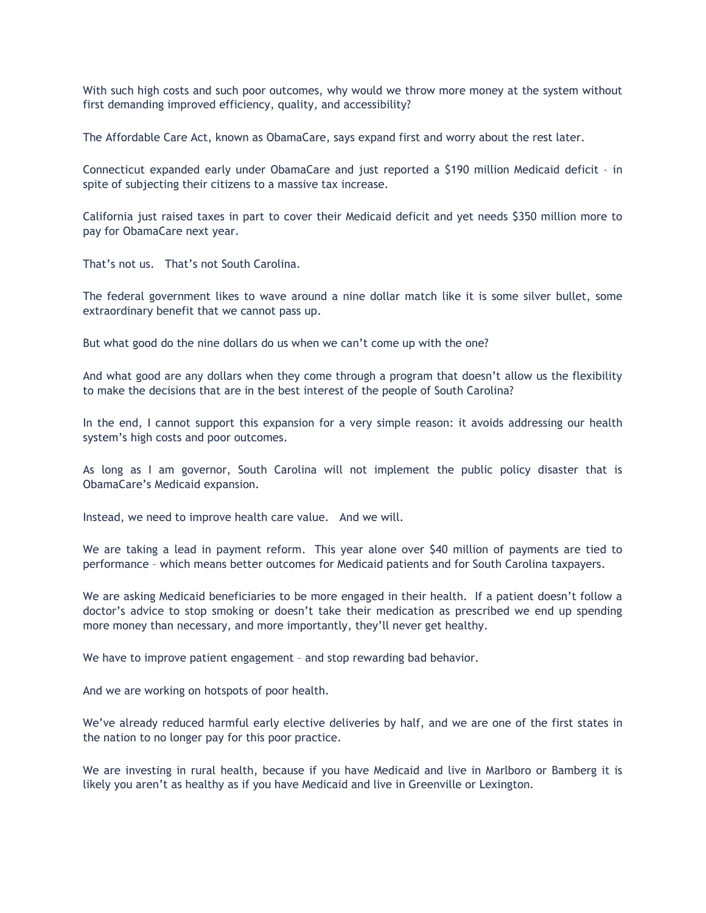With such high costs and such poor outcomes, why would we throw more money at the system without first demanding improved efficiency, quality, and accessibility?

The Affordable Care Act, known as ObamaCare, says expand first and worry about the rest later.

Connecticut expanded early under ObamaCare and just reported a \$190 million Medicaid deficit – in spite of subjecting their citizens to a massive tax increase.

California just raised taxes in part to cover their Medicaid deficit and yet needs \$350 million more to pay for ObamaCare next year.

That's not us. That's not South Carolina.

The federal government likes to wave around a nine dollar match like it is some silver bullet, some extraordinary benefit that we cannot pass up.

But what good do the nine dollars do us when we can't come up with the one?

And what good are any dollars when they come through a program that doesn't allow us the flexibility to make the decisions that are in the best interest of the people of South Carolina?

In the end, I cannot support this expansion for a very simple reason: it avoids addressing our health system's high costs and poor outcomes.

As long as I am governor, South Carolina will not implement the public policy disaster that is ObamaCare's Medicaid expansion.

Instead, we need to improve health care value. And we will.

We are taking a lead in payment reform. This year alone over \$40 million of payments are tied to performance – which means better outcomes for Medicaid patients and for South Carolina taxpayers.

We are asking Medicaid beneficiaries to be more engaged in their health. If a patient doesn't follow a doctor's advice to stop smoking or doesn't take their medication as prescribed we end up spending more money than necessary, and more importantly, they'll never get healthy.

We have to improve patient engagement – and stop rewarding bad behavior.

And we are working on hotspots of poor health.

We've already reduced harmful early elective deliveries by half, and we are one of the first states in the nation to no longer pay for this poor practice.

We are investing in rural health, because if you have Medicaid and live in Marlboro or Bamberg it is likely you aren't as healthy as if you have Medicaid and live in Greenville or Lexington.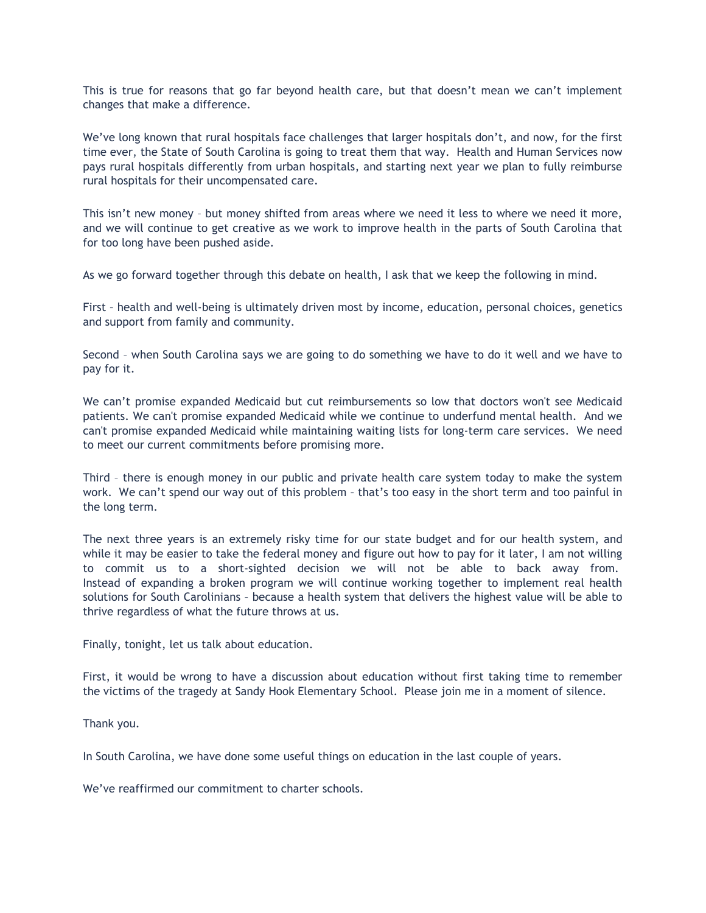This is true for reasons that go far beyond health care, but that doesn't mean we can't implement changes that make a difference.

We've long known that rural hospitals face challenges that larger hospitals don't, and now, for the first time ever, the State of South Carolina is going to treat them that way. Health and Human Services now pays rural hospitals differently from urban hospitals, and starting next year we plan to fully reimburse rural hospitals for their uncompensated care.

This isn't new money – but money shifted from areas where we need it less to where we need it more, and we will continue to get creative as we work to improve health in the parts of South Carolina that for too long have been pushed aside.

As we go forward together through this debate on health, I ask that we keep the following in mind.

First – health and well-being is ultimately driven most by income, education, personal choices, genetics and support from family and community.

Second – when South Carolina says we are going to do something we have to do it well and we have to pay for it.

We can't promise expanded Medicaid but cut reimbursements so low that doctors won't see Medicaid patients. We can't promise expanded Medicaid while we continue to underfund mental health. And we can't promise expanded Medicaid while maintaining waiting lists for long-term care services. We need to meet our current commitments before promising more.

Third – there is enough money in our public and private health care system today to make the system work. We can't spend our way out of this problem – that's too easy in the short term and too painful in the long term.

The next three years is an extremely risky time for our state budget and for our health system, and while it may be easier to take the federal money and figure out how to pay for it later, I am not willing to commit us to a short-sighted decision we will not be able to back away from. Instead of expanding a broken program we will continue working together to implement real health solutions for South Carolinians – because a health system that delivers the highest value will be able to thrive regardless of what the future throws at us.

Finally, tonight, let us talk about education.

First, it would be wrong to have a discussion about education without first taking time to remember the victims of the tragedy at Sandy Hook Elementary School. Please join me in a moment of silence.

Thank you.

In South Carolina, we have done some useful things on education in the last couple of years.

We've reaffirmed our commitment to charter schools.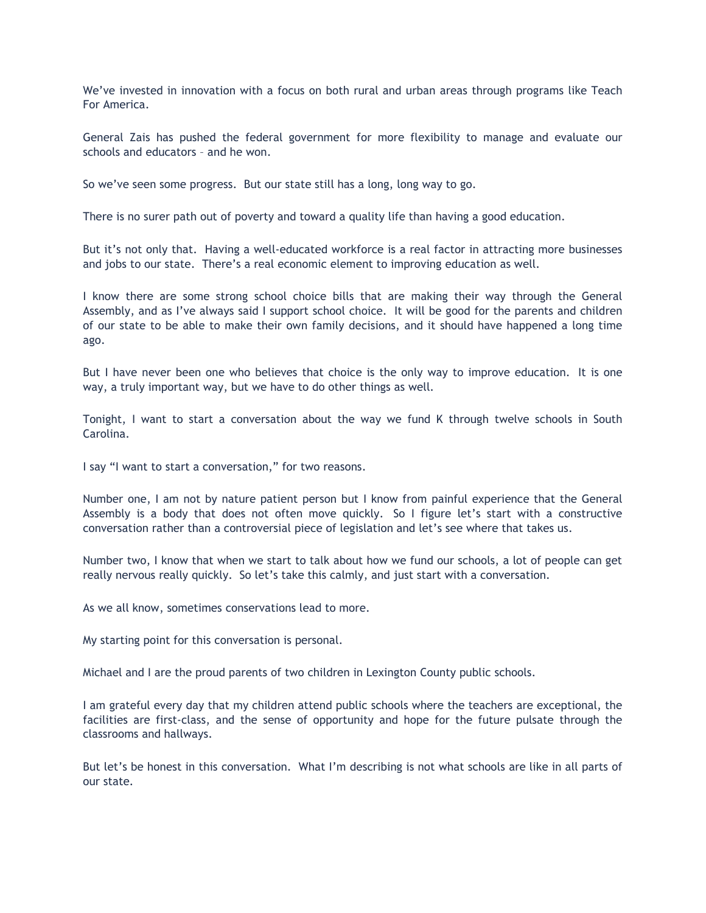We've invested in innovation with a focus on both rural and urban areas through programs like Teach For America.

General Zais has pushed the federal government for more flexibility to manage and evaluate our schools and educators – and he won.

So we've seen some progress. But our state still has a long, long way to go.

There is no surer path out of poverty and toward a quality life than having a good education.

But it's not only that. Having a well-educated workforce is a real factor in attracting more businesses and jobs to our state. There's a real economic element to improving education as well.

I know there are some strong school choice bills that are making their way through the General Assembly, and as I've always said I support school choice. It will be good for the parents and children of our state to be able to make their own family decisions, and it should have happened a long time ago.

But I have never been one who believes that choice is the only way to improve education. It is one way, a truly important way, but we have to do other things as well.

Tonight, I want to start a conversation about the way we fund K through twelve schools in South Carolina.

I say "I want to start a conversation," for two reasons.

Number one, I am not by nature patient person but I know from painful experience that the General Assembly is a body that does not often move quickly. So I figure let's start with a constructive conversation rather than a controversial piece of legislation and let's see where that takes us.

Number two, I know that when we start to talk about how we fund our schools, a lot of people can get really nervous really quickly. So let's take this calmly, and just start with a conversation.

As we all know, sometimes conservations lead to more.

My starting point for this conversation is personal.

Michael and I are the proud parents of two children in Lexington County public schools.

I am grateful every day that my children attend public schools where the teachers are exceptional, the facilities are first-class, and the sense of opportunity and hope for the future pulsate through the classrooms and hallways.

But let's be honest in this conversation. What I'm describing is not what schools are like in all parts of our state.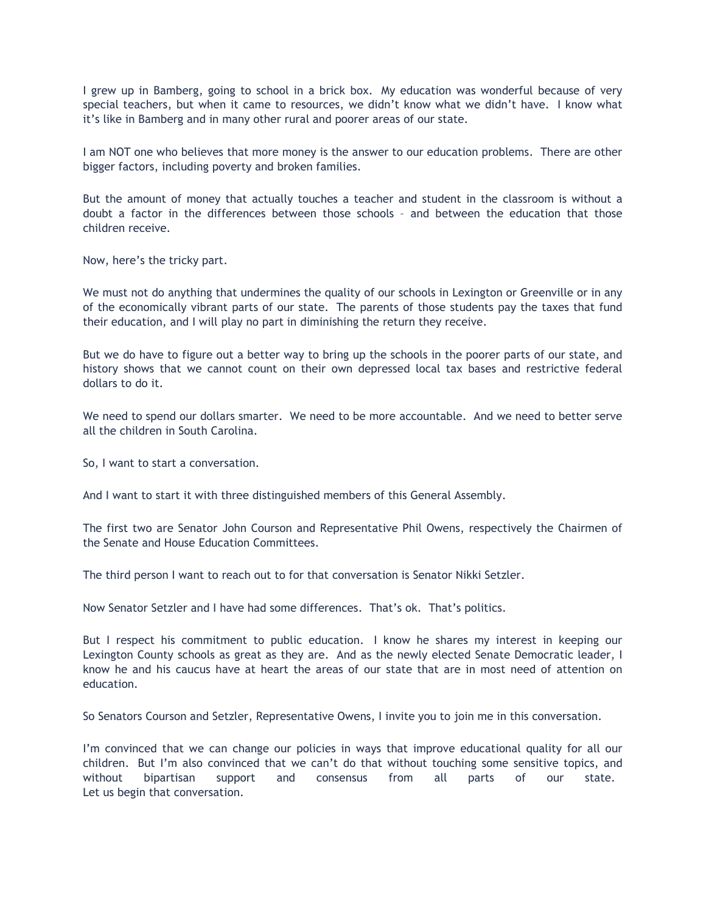I grew up in Bamberg, going to school in a brick box. My education was wonderful because of very special teachers, but when it came to resources, we didn't know what we didn't have. I know what it's like in Bamberg and in many other rural and poorer areas of our state.

I am NOT one who believes that more money is the answer to our education problems. There are other bigger factors, including poverty and broken families.

But the amount of money that actually touches a teacher and student in the classroom is without a doubt a factor in the differences between those schools – and between the education that those children receive.

Now, here's the tricky part.

We must not do anything that undermines the quality of our schools in Lexington or Greenville or in any of the economically vibrant parts of our state. The parents of those students pay the taxes that fund their education, and I will play no part in diminishing the return they receive.

But we do have to figure out a better way to bring up the schools in the poorer parts of our state, and history shows that we cannot count on their own depressed local tax bases and restrictive federal dollars to do it.

We need to spend our dollars smarter. We need to be more accountable. And we need to better serve all the children in South Carolina.

So, I want to start a conversation.

And I want to start it with three distinguished members of this General Assembly.

The first two are Senator John Courson and Representative Phil Owens, respectively the Chairmen of the Senate and House Education Committees.

The third person I want to reach out to for that conversation is Senator Nikki Setzler.

Now Senator Setzler and I have had some differences. That's ok. That's politics.

But I respect his commitment to public education. I know he shares my interest in keeping our Lexington County schools as great as they are. And as the newly elected Senate Democratic leader, I know he and his caucus have at heart the areas of our state that are in most need of attention on education.

So Senators Courson and Setzler, Representative Owens, I invite you to join me in this conversation.

I'm convinced that we can change our policies in ways that improve educational quality for all our children. But I'm also convinced that we can't do that without touching some sensitive topics, and without bipartisan support and consensus from all parts of our state. Let us begin that conversation.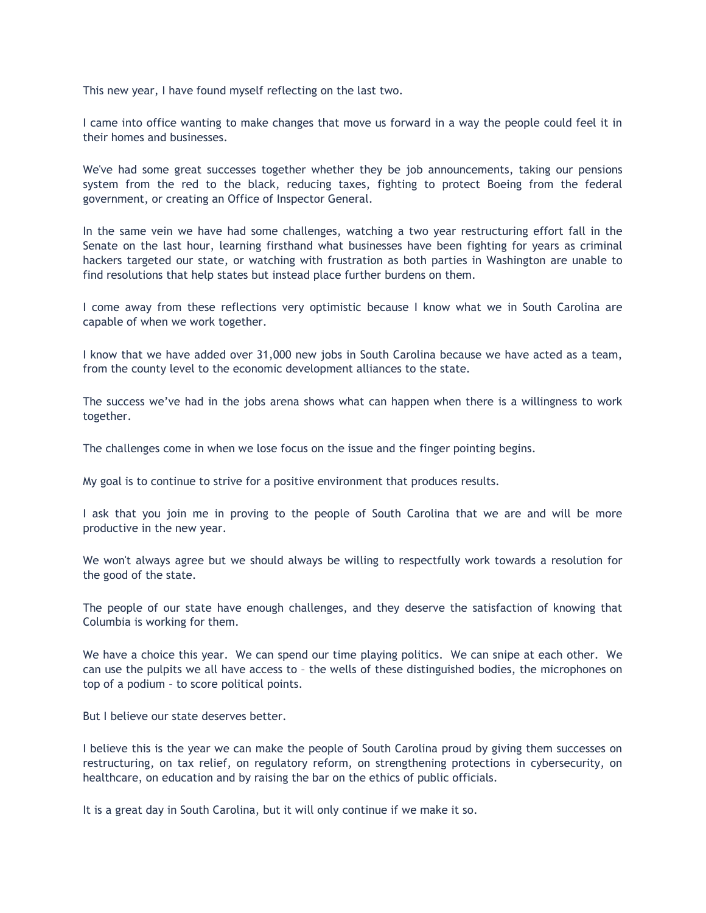This new year, I have found myself reflecting on the last two.

I came into office wanting to make changes that move us forward in a way the people could feel it in their homes and businesses.

We've had some great successes together whether they be job announcements, taking our pensions system from the red to the black, reducing taxes, fighting to protect Boeing from the federal government, or creating an Office of Inspector General.

In the same vein we have had some challenges, watching a two year restructuring effort fall in the Senate on the last hour, learning firsthand what businesses have been fighting for years as criminal hackers targeted our state, or watching with frustration as both parties in Washington are unable to find resolutions that help states but instead place further burdens on them.

I come away from these reflections very optimistic because I know what we in South Carolina are capable of when we work together.

I know that we have added over 31,000 new jobs in South Carolina because we have acted as a team, from the county level to the economic development alliances to the state.

The success we've had in the jobs arena shows what can happen when there is a willingness to work together.

The challenges come in when we lose focus on the issue and the finger pointing begins.

My goal is to continue to strive for a positive environment that produces results.

I ask that you join me in proving to the people of South Carolina that we are and will be more productive in the new year.

We won't always agree but we should always be willing to respectfully work towards a resolution for the good of the state.

The people of our state have enough challenges, and they deserve the satisfaction of knowing that Columbia is working for them.

We have a choice this year. We can spend our time playing politics. We can snipe at each other. We can use the pulpits we all have access to – the wells of these distinguished bodies, the microphones on top of a podium – to score political points.

But I believe our state deserves better.

I believe this is the year we can make the people of South Carolina proud by giving them successes on restructuring, on tax relief, on regulatory reform, on strengthening protections in cybersecurity, on healthcare, on education and by raising the bar on the ethics of public officials.

It is a great day in South Carolina, but it will only continue if we make it so.